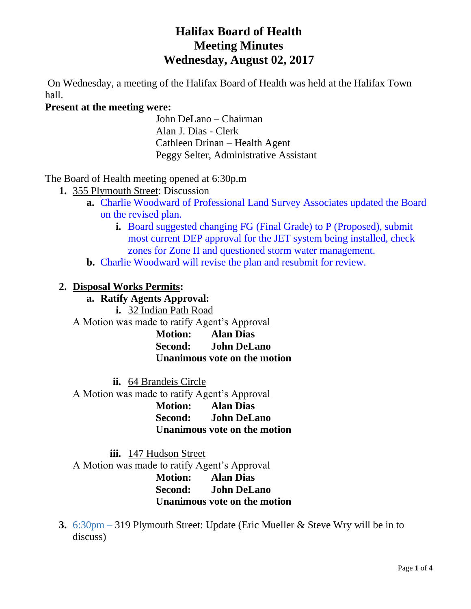# **Halifax Board of Health Meeting Minutes Wednesday, August 02, 2017**

On Wednesday, a meeting of the Halifax Board of Health was held at the Halifax Town hall.

### **Present at the meeting were:**

John DeLano – Chairman Alan J. Dias - Clerk Cathleen Drinan – Health Agent Peggy Selter, Administrative Assistant

The Board of Health meeting opened at 6:30p.m

- **1.** 355 Plymouth Street: Discussion
	- **a.** Charlie Woodward of Professional Land Survey Associates updated the Board on the revised plan.
		- **i.** Board suggested changing FG (Final Grade) to P (Proposed), submit most current DEP approval for the JET system being installed, check zones for Zone II and questioned storm water management.
	- **b.** Charlie Woodward will revise the plan and resubmit for review.

### **2. Disposal Works Permits:**

### **a. Ratify Agents Approval:**

**i.** 32 Indian Path Road

A Motion was made to ratify Agent's Approval

**Motion: Alan Dias Second: John DeLano Unanimous vote on the motion**

**ii.** 64 Brandeis Circle

A Motion was made to ratify Agent's Approval

**Motion: Alan Dias Second: John DeLano Unanimous vote on the motion**

**iii.** 147 Hudson Street

A Motion was made to ratify Agent's Approval **Motion: Alan Dias Second: John DeLano**

**Unanimous vote on the motion**

**3.** 6:30pm – 319 Plymouth Street: Update (Eric Mueller & Steve Wry will be in to discuss)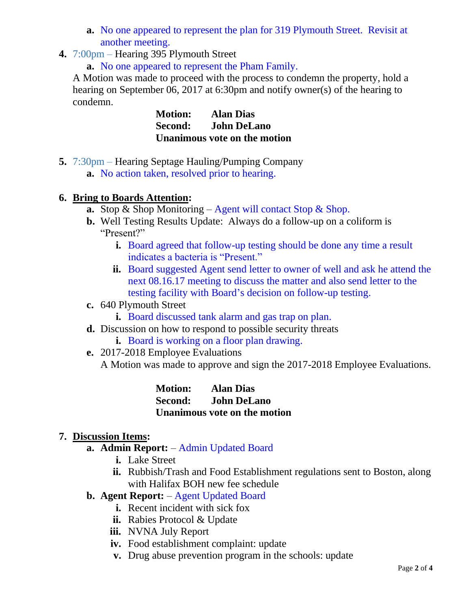- **a.** No one appeared to represent the plan for 319 Plymouth Street. Revisit at another meeting.
- **4.** 7:00pm Hearing 395 Plymouth Street

**a.** No one appeared to represent the Pham Family.

A Motion was made to proceed with the process to condemn the property, hold a hearing on September 06, 2017 at 6:30pm and notify owner(s) of the hearing to condemn.

> **Motion: Alan Dias Second: John DeLano Unanimous vote on the motion**

**5.** 7:30pm – Hearing Septage Hauling/Pumping Company **a.** No action taken, resolved prior to hearing.

## **6. Bring to Boards Attention:**

- **a.** Stop & Shop Monitoring Agent will contact Stop & Shop.
- **b.** Well Testing Results Update: Always do a follow-up on a coliform is "Present?"
	- **i.** Board agreed that follow-up testing should be done any time a result indicates a bacteria is "Present."
	- **ii.** Board suggested Agent send letter to owner of well and ask he attend the next 08.16.17 meeting to discuss the matter and also send letter to the testing facility with Board's decision on follow-up testing.
- **c.** 640 Plymouth Street
	- **i.** Board discussed tank alarm and gas trap on plan.
- **d.** Discussion on how to respond to possible security threats
	- **i.** Board is working on a floor plan drawing.
- **e.** 2017-2018 Employee Evaluations A Motion was made to approve and sign the 2017-2018 Employee Evaluations.

**Motion: Alan Dias Second: John DeLano Unanimous vote on the motion**

# **7. Discussion Items:**

- **a. Admin Report:** Admin Updated Board
	- **i.** Lake Street
	- **ii.** Rubbish/Trash and Food Establishment regulations sent to Boston, along with Halifax BOH new fee schedule
- **b. Agent Report:** Agent Updated Board
	- **i.** Recent incident with sick fox
	- **ii.** Rabies Protocol & Update
	- **iii.** NVNA July Report
	- **iv.** Food establishment complaint: update
	- **v.** Drug abuse prevention program in the schools: update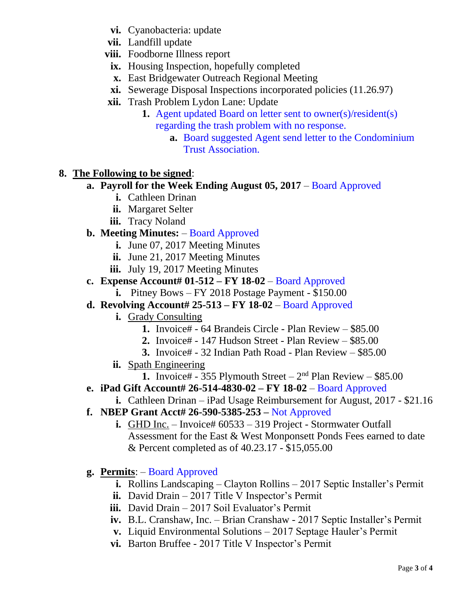- **vi.** Cyanobacteria: update
- **vii.** Landfill update
- **viii.** Foodborne Illness report
- **ix.** Housing Inspection, hopefully completed
- **x.** East Bridgewater Outreach Regional Meeting
- **xi.** Sewerage Disposal Inspections incorporated policies (11.26.97)
- **xii.** Trash Problem Lydon Lane: Update
	- **1.** Agent updated Board on letter sent to owner(s)/resident(s) regarding the trash problem with no response.
		- **a.** Board suggested Agent send letter to the Condominium Trust Association.

# **8. The Following to be signed**:

- **a. Payroll for the Week Ending August 05, 2017** Board Approved
	- **i.** Cathleen Drinan
	- **ii.** Margaret Selter
	- **iii.** Tracy Noland

## **b. Meeting Minutes:** – Board Approved

- **i.** June 07, 2017 Meeting Minutes
- **ii.** June 21, 2017 Meeting Minutes
- **iii.** July 19, 2017 Meeting Minutes
- **c. Expense Account# 01-512 – FY 18-02**  Board Approved
	- **i.** Pitney Bows FY 2018 Postage Payment \$150.00
- **d. Revolving Account# 25-513 – FY 18-02**  Board Approved
	- **i.** Grady Consulting
		- **1.** Invoice# 64 Brandeis Circle Plan Review \$85.00
		- **2.** Invoice# 147 Hudson Street Plan Review \$85.00
		- **3.** Invoice# 32 Indian Path Road Plan Review \$85.00
	- **ii.** Spath Engineering
		- **1.** Invoice# 355 Plymouth Street  $-2<sup>nd</sup>$  Plan Review  $-$  \$85.00
- **e. iPad Gift Account# 26-514-4830-02 – FY 18-02**  Board Approved
	- **i.** Cathleen Drinan iPad Usage Reimbursement for August, 2017 \$21.16
- **f. NBEP Grant Acct# 26-590-5385-253 –** Not Approved
	- **i.** GHD Inc. Invoice# 60533 319 Project Stormwater Outfall Assessment for the East & West Monponsett Ponds Fees earned to date & Percent completed as of 40.23.17 - \$15,055.00
- **g. Permits**: Board Approved
	- **i.** Rollins Landscaping Clayton Rollins 2017 Septic Installer's Permit
	- **ii.** David Drain 2017 Title V Inspector's Permit
	- **iii.** David Drain 2017 Soil Evaluator's Permit
	- **iv.** B.L. Cranshaw, Inc. Brian Cranshaw 2017 Septic Installer's Permit
	- **v.** Liquid Environmental Solutions 2017 Septage Hauler's Permit
	- **vi.** Barton Bruffee 2017 Title V Inspector's Permit